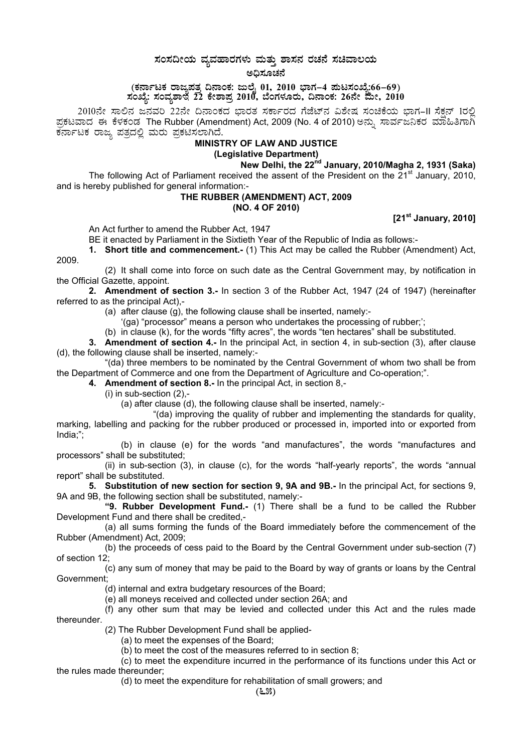# $\,$ ಸಂಸದೀಯ ವ್ಯವಹಾರಗಳು ಮತ್ತು ಶಾಸನ ರಚನೆ ಸಚಿವಾಲಯ

ಅದಿಸೂಚನೆ

(ಕರ್ನಾಟಕ ರಾಜ್ಯಪತ್ನ ದಿನಾಂಕ: ಜುಲೈ 01, 2010 ಭಾಗ–4 **ಪುಟಸಂಖ್ಯೆ:66–69**)  $\vec{z}$ ಸಂವೈಶಾಲೆ  $\vec{z}$ 2 ಕೇಶಾಪ್ರ 2010, ಬೆಂಗಳೂರು, ದಿನಾಂಕ: 26ನೇ ಮೇ, 2010

2010ನೇ ಸಾಲಿನ ಜನವರಿ 22ನೇ ದಿನಾಂಕದ ಭಾರತ ಸರ್ಕಾರದ ಗೆಜೆಟ್ನ ವಿಶೇಷ ಸಂಚಿಕೆಯ ಭಾಗ–II ಸೆಕ್ಷನ್ 1ರಲ್ಲಿ<br>ಪ್ರಕಟವಾದ ಈ ಕೆಳಕಂಡ The Rubber (Amendment) Act, 2009 (No. 4 of 2010) ಅನ್ನು ಸಾರ್ವಜನಿಕರ ಮಾಹಿತಿಗಾಗಿ<br>**MINISTRY OF LAW AND JUSTICE**<br>MINISTR

## **(Legislative Department)**

**New Delhi, the 22nd January, 2010/Magha 2, 1931 (Saka)** 

The following Act of Parliament received the assent of the President on the 21<sup>st</sup> January, 2010, and is hereby published for general information:-

### **THE RUBBER (AMENDMENT) ACT, 2009 (NO. 4 OF 2010)**

**[21st January, 2010]** 

An Act further to amend the Rubber Act, 1947

BE it enacted by Parliament in the Sixtieth Year of the Republic of India as follows:-

**1. Short title and commencement.-** (1) This Act may be called the Rubber (Amendment) Act, 2009.

(2) It shall come into force on such date as the Central Government may, by notification in the Official Gazette, appoint.

**2. Amendment of section 3.-** In section 3 of the Rubber Act, 1947 (24 of 1947) (hereinafter referred to as the principal Act),-

(a) after clause (g), the following clause shall be inserted, namely:-

'(ga) "processor" means a person who undertakes the processing of rubber;';

(b) in clause (k), for the words "fifty acres", the words "ten hectares" shall be substituted.

**3. Amendment of section 4.-** In the principal Act, in section 4, in sub-section (3), after clause (d), the following clause shall be inserted, namely:-

"(da) three members to be nominated by the Central Government of whom two shall be from the Department of Commerce and one from the Department of Agriculture and Co-operation;".

**4. Amendment of section 8.-** In the principal Act, in section 8,-

(i) in sub-section (2),-

(a) after clause (d), the following clause shall be inserted, namely:-

"(da) improving the quality of rubber and implementing the standards for quality, marking, labelling and packing for the rubber produced or processed in, imported into or exported from India;";

(b) in clause (e) for the words "and manufactures", the words "manufactures and processors" shall be substituted;

(ii) in sub-section (3), in clause (c), for the words "half-yearly reports", the words "annual report" shall be substituted.

**5. Substitution of new section for section 9, 9A and 9B.-** In the principal Act, for sections 9, 9A and 9B, the following section shall be substituted, namely:-

 **"9. Rubber Development Fund.-** (1) There shall be a fund to be called the Rubber Development Fund and there shall be credited,-

(a) all sums forming the funds of the Board immediately before the commencement of the Rubber (Amendment) Act, 2009;

(b) the proceeds of cess paid to the Board by the Central Government under sub-section (7) of section 12;

(c) any sum of money that may be paid to the Board by way of grants or loans by the Central Government;

(d) internal and extra budgetary resources of the Board;

(e) all moneys received and collected under section 26A; and

(f) any other sum that may be levied and collected under this Act and the rules made thereunder.

(2) The Rubber Development Fund shall be applied-

(a) to meet the expenses of the Board;

(b) to meet the cost of the measures referred to in section 8;

(c) to meet the expenditure incurred in the performance of its functions under this Act or the rules made thereunder;

(d) to meet the expenditure for rehabilitation of small growers; and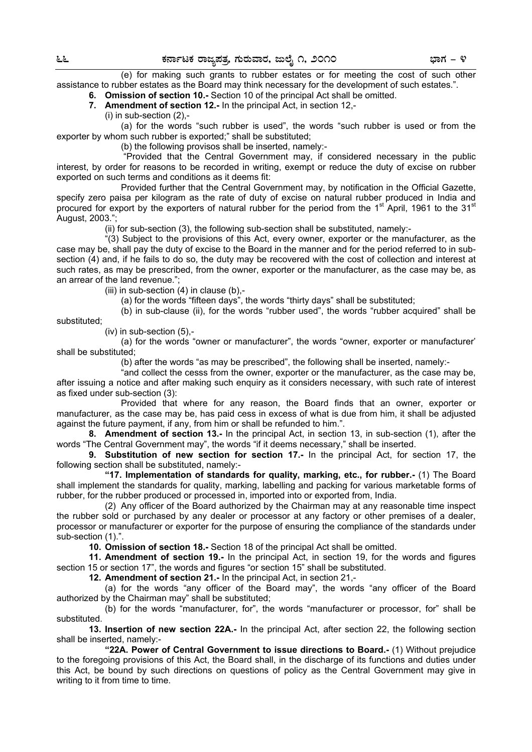(e) for making such grants to rubber estates or for meeting the cost of such other assistance to rubber estates as the Board may think necessary for the development of such estates.".

**6. Omission of section 10.-** Section 10 of the principal Act shall be omitted.

**7. Amendment of section 12.-** In the principal Act, in section 12,-

(i) in sub-section (2),-

 (a) for the words "such rubber is used", the words "such rubber is used or from the exporter by whom such rubber is exported;" shall be substituted;

(b) the following provisos shall be inserted, namely:-

 "Provided that the Central Government may, if considered necessary in the public interest, by order for reasons to be recorded in writing, exempt or reduce the duty of excise on rubber exported on such terms and conditions as it deems fit:

 Provided further that the Central Government may, by notification in the Official Gazette, specify zero paisa per kilogram as the rate of duty of excise on natural rubber produced in India and procured for export by the exporters of natural rubber for the period from the  $1<sup>st</sup>$  April, 1961 to the  $31<sup>st</sup>$ August, 2003.";

(ii) for sub-section (3), the following sub-section shall be substituted, namely:-

 "(3) Subject to the provisions of this Act, every owner, exporter or the manufacturer, as the case may be, shall pay the duty of excise to the Board in the manner and for the period referred to in subsection (4) and, if he fails to do so, the duty may be recovered with the cost of collection and interest at such rates, as may be prescribed, from the owner, exporter or the manufacturer, as the case may be, as an arrear of the land revenue.";

(iii) in sub-section  $(4)$  in clause  $(b)$ ,-

(a) for the words "fifteen days", the words "thirty days" shall be substituted;

 (b) in sub-clause (ii), for the words "rubber used", the words "rubber acquired" shall be substituted;

(iv) in sub-section (5),-

 (a) for the words "owner or manufacturer", the words "owner, exporter or manufacturer' shall be substituted;

(b) after the words "as may be prescribed", the following shall be inserted, namely:-

 "and collect the cesss from the owner, exporter or the manufacturer, as the case may be, after issuing a notice and after making such enquiry as it considers necessary, with such rate of interest as fixed under sub-section (3):

 Provided that where for any reason, the Board finds that an owner, exporter or manufacturer, as the case may be, has paid cess in excess of what is due from him, it shall be adjusted against the future payment, if any, from him or shall be refunded to him.".

**8. Amendment of section 13.-** In the principal Act, in section 13, in sub-section (1), after the words "The Central Government may", the words "if it deems necessary," shall be inserted.

**9. Substitution of new section for section 17.-** In the principal Act, for section 17, the following section shall be substituted, namely:-

 **"17. Implementation of standards for quality, marking, etc., for rubber.-** (1) The Board shall implement the standards for quality, marking, labelling and packing for various marketable forms of rubber, for the rubber produced or processed in, imported into or exported from, India.

 (2) Any officer of the Board authorized by the Chairman may at any reasonable time inspect the rubber sold or purchased by any dealer or processor at any factory or other premises of a dealer, processor or manufacturer or exporter for the purpose of ensuring the compliance of the standards under sub-section (1).".

**10. Omission of section 18.-** Section 18 of the principal Act shall be omitted.

**11. Amendment of section 19.-** In the principal Act, in section 19, for the words and figures section 15 or section 17", the words and figures "or section 15" shall be substituted.

**12. Amendment of section 21.-** In the principal Act, in section 21,-

 (a) for the words "any officer of the Board may", the words "any officer of the Board authorized by the Chairman may" shall be substituted;

 (b) for the words "manufacturer, for", the words "manufacturer or processor, for" shall be substituted.

**13. Insertion of new section 22A.-** In the principal Act, after section 22, the following section shall be inserted, namely:-

 **"22A. Power of Central Government to issue directions to Board.-** (1) Without prejudice to the foregoing provisions of this Act, the Board shall, in the discharge of its functions and duties under this Act, be bound by such directions on questions of policy as the Central Government may give in writing to it from time to time.